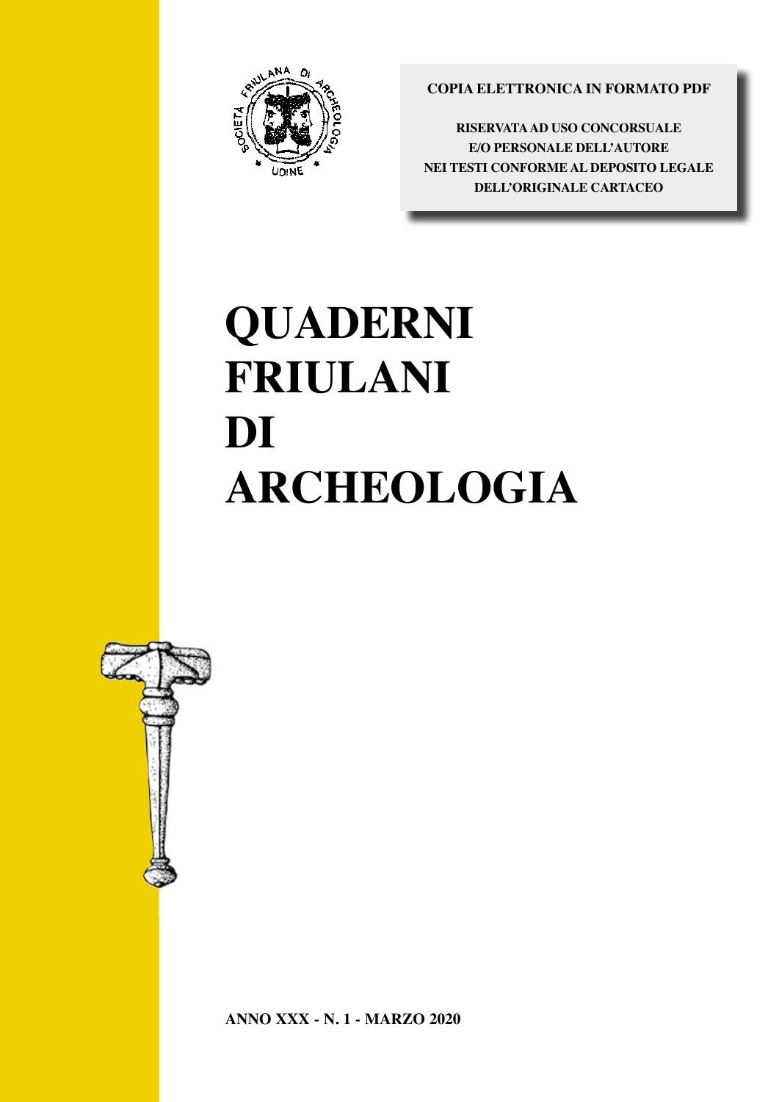

**COPIA ELETTRONICA IN FORMATO PDF** 

**RISERVATA AD USO CONCORSUALE E/O PERSONALE DELL'AUTORE nei testi CONFORME AL DEPOSITO LEGALE DELL'ORIGINALE CARTACEO** 

# $\overline{\phantom{a}}$ ARCHEOLOGIA<br>Artif 1 N.H **QUADERNI FRIULANI DI ARCHEOLOGIA**

QUADERNI FRIULANI



**ANNO XXX - N. 1 - MARZO 2020**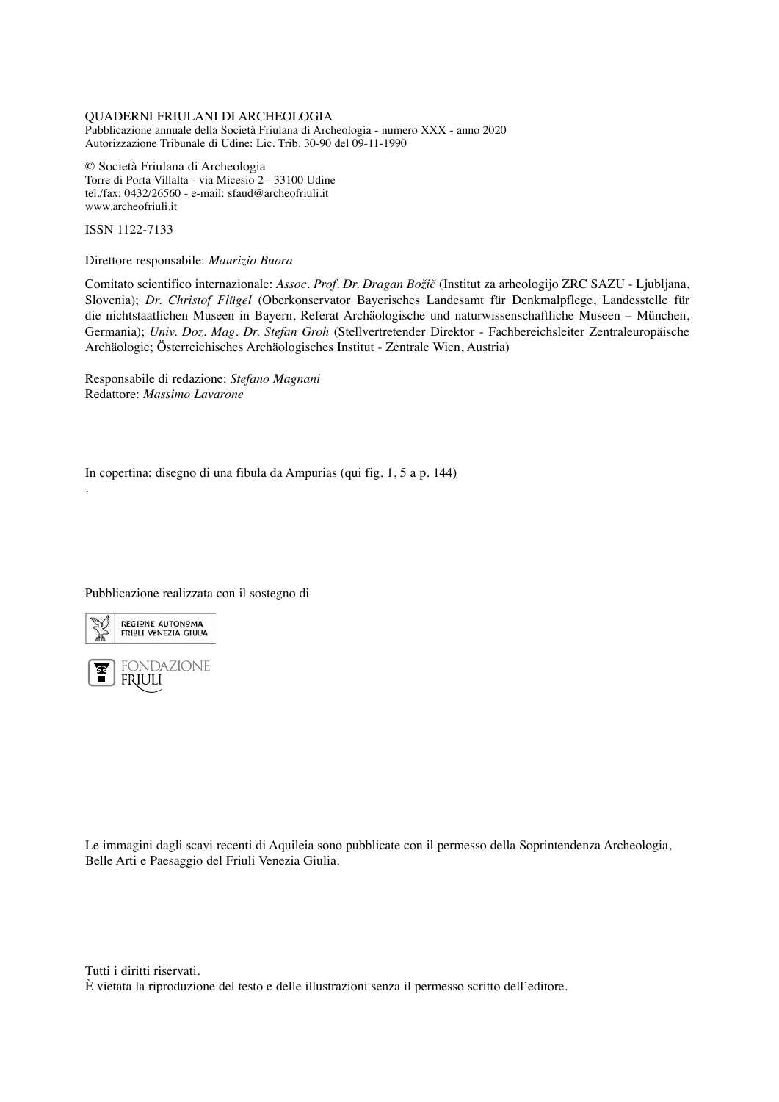## QUADERNI FRIULANI DI ARCHEOLOGIA

Pubblicazione annuale della Società Friulana di Archeologia - numero XXX - anno 2020 Autorizzazione Tribunale di Udine: Lic. Trib. 30-90 del 09-11-1990

© Società Friulana di Archeologia Torre di Porta Villalta - via Micesio 2 - 33100 Udine tel./fax: 0432/26560 - e-mail: sfaud@archeofriuli.it www.archeofriuli.it

ISSN 1122-7133

Direttore responsabile: *Maurizio Buora*

Comitato scientifico internazionale: *Assoc. Prof. Dr. Dragan Božič* (Institut za arheologijo ZRC SAZU - Ljubljana, Slovenia); *Dr. Christof Flügel* (Oberkonservator Bayerisches Landesamt für Denkmalpflege, Landesstelle für die nichtstaatlichen Museen in Bayern, Referat Archäologische und naturwissenschaftliche Museen – München, Germania); *Univ. Doz. Mag. Dr. Stefan Groh* (Stellvertretender Direktor - Fachbereichsleiter Zentraleuropäische Archäologie; Österreichisches Archäologisches Institut - Zentrale Wien, Austria)

Responsabile di redazione: *Stefano Magnani* Redattore: *Massimo Lavarone*

In copertina: disegno di una fibula da Ampurias (qui fig. 1, 5 a p. 144)

Pubblicazione realizzata con il sostegno di



.

**FONDAZIONE** န္ **FRIULI** 

Le immagini dagli scavi recenti di Aquileia sono pubblicate con il permesso della Soprintendenza Archeologia, Belle Arti e Paesaggio del Friuli Venezia Giulia.

Tutti i diritti riservati. È vietata la riproduzione del testo e delle illustrazioni senza il permesso scritto dell'editore.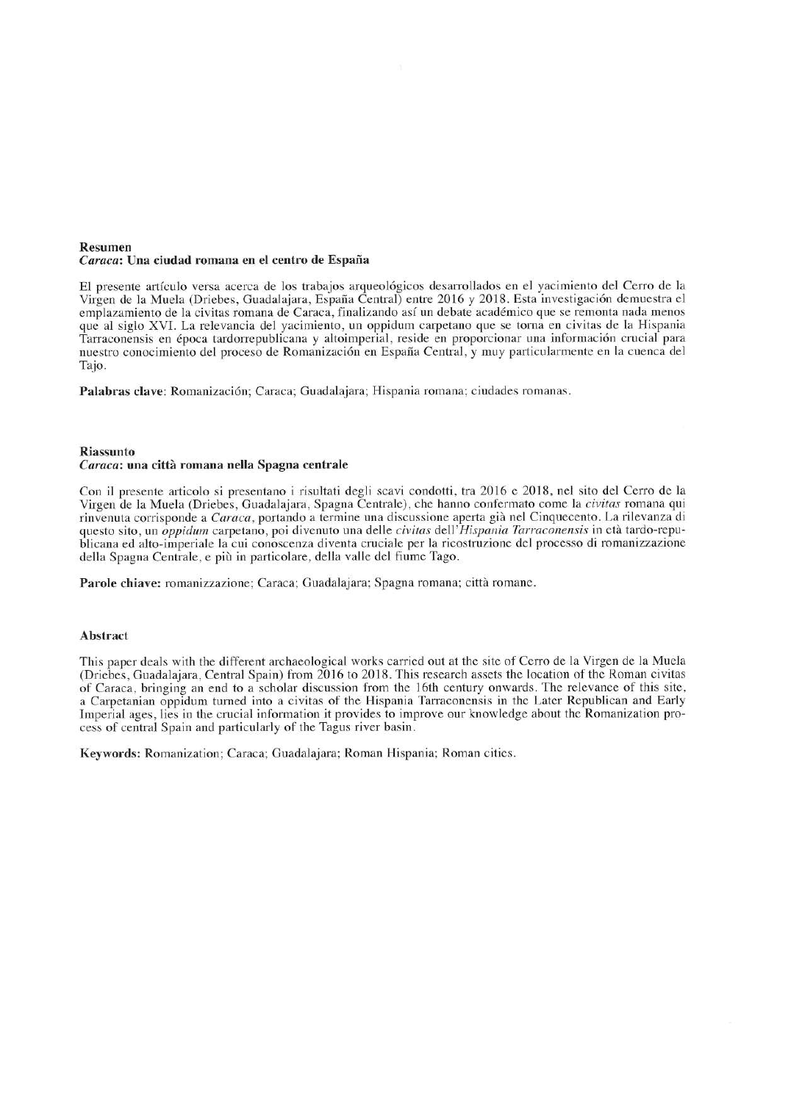#### **Resumen** Caraca: Una ciudad romana en el centro de España

El presente artículo versa acerca de los trabajos arqueológicos desarrollados en el yacimiento del Cerro de la Virgen de la Muela (Driebes, Guadalajara, España Central) entre 2016 y 2018. Esta investigación demuestra el emplazamiento de la civitas romana de Caraca, finalizando así un debate académico que se remonta nada menos que al siglo XVI. La relevancia del yacimiento, un oppidum carpetano que se torna en civitas de la Hispania Tarraconensis en época tardorrepublicana y altoimperial, reside en proporcionar una información crucial para nuestro conocimiento del proceso de Romanización en España Central, y muy particularmente en la cuenca del Tajo.

Palabras clave: Romanización; Caraca; Guadalajara; Hispania romana; ciudades romanas.

## **Riassunto**

## Caraca: una città romana nella Spagna centrale

Con il presente articolo si presentano i risultati degli scavi condotti, tra 2016 e 2018, nel sito del Cerro de la Virgen de la Muela (Driebes, Guadalajara, Spagna Centrale), che hanno confermato come la *civitas* romana qui rinvenuta corrisponde a Caraca, portando a termine una discussione aperta già nel Cinquecento. La rilevanza di questo sito, un *oppidum* carpetano, poi divenuto una delle civitas dell'Hispania Tarraconensis in età tardo-republicana ed alto-imperiale la cui conoscenza diventa cruciale per la ricostruzione del processo di romanizzazione della Spagna Centrale, e più in particolare, della valle del fiume Tago.

Parole chiave: romanizzazione; Caraca; Guadalajara; Spagna romana; città romane.

## **Abstract**

This paper deals with the different archaeological works carried out at the site of Cerro de la Virgen de la Muela (Driebes, Guadalajara, Central Spain) from 2016 to 2018. This research assets the location of the Roman civitas of Caraca, bringing an end to a scholar discussion from the 16th century onwards. The relevance of this site, a Carpetanian oppidum turned into a civitas of the Hispania Tarraconensis in the Later Republican and Early Imperial ages, lies in the crucial information it provides to improve our knowledge about the Romanization process of central Spain and particularly of the Tagus river basin.

Keywords: Romanization; Caraca; Guadalajara; Roman Hispania; Roman cities.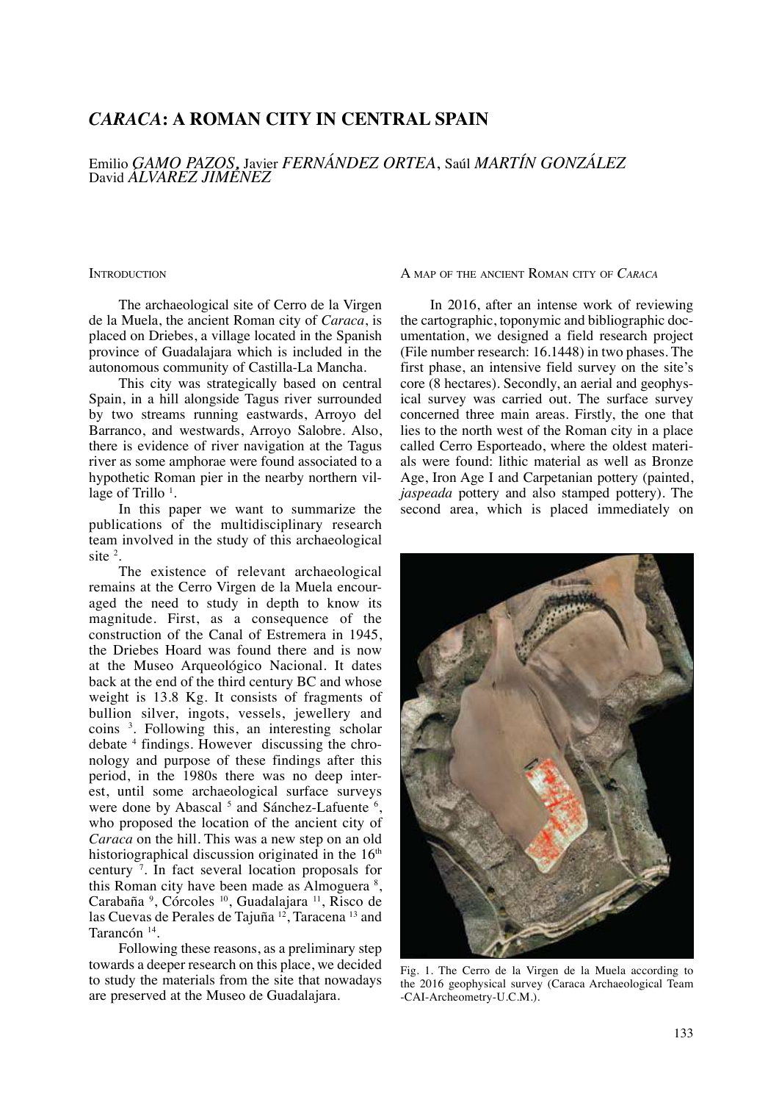# *CARACA***: A ROMAN CITY IN CENTRAL SPAIN**

Emilio *Gamo Pazos*, Javier *Fernández Ortea*, Saúl *Martín GONZÁLEZ* David *Álvarez Jiménez*

**INTRODUCTION** 

The archaeological site of Cerro de la Virgen de la Muela, the ancient Roman city of *Caraca*, is placed on Driebes, a village located in the Spanish province of Guadalajara which is included in the autonomous community of Castilla-La Mancha.

This city was strategically based on central Spain, in a hill alongside Tagus river surrounded by two streams running eastwards, Arroyo del Barranco, and westwards, Arroyo Salobre. Also, there is evidence of river navigation at the Tagus river as some amphorae were found associated to a hypothetic Roman pier in the nearby northern village of Trillo <sup>1</sup>.

In this paper we want to summarize the publications of the multidisciplinary research team involved in the study of this archaeological site  $2$ .

The existence of relevant archaeological remains at the Cerro Virgen de la Muela encouraged the need to study in depth to know its magnitude. First, as a consequence of the construction of the Canal of Estremera in 1945, the Driebes Hoard was found there and is now at the Museo Arqueológico Nacional. It dates back at the end of the third century BC and whose weight is 13.8 Kg. It consists of fragments of bullion silver, ingots, vessels, jewellery and coins <sup>3</sup> . Following this, an interesting scholar debate <sup>4</sup> findings. However discussing the chronology and purpose of these findings after this period, in the 1980s there was no deep interest, until some archaeological surface surveys were done by Abascal<sup>5</sup> and Sánchez-Lafuente<sup>6</sup>, who proposed the location of the ancient city of *Caraca* on the hill. This was a new step on an old historiographical discussion originated in the  $16<sup>th</sup>$ century <sup>7</sup> . In fact several location proposals for this Roman city have been made as Almoguera<sup>8</sup>, Carabaña<sup>9</sup>, Córcoles<sup>10</sup>, Guadalajara<sup>11</sup>, Risco de las Cuevas de Perales de Tajuña<sup>12</sup>, Taracena<sup>13</sup> and Tarancón 14.

Following these reasons, as a preliminary step towards a deeper research on this place, we decided to study the materials from the site that nowadays are preserved at the Museo de Guadalajara.

A map of the ancient Roman city of *Caraca*

In 2016, after an intense work of reviewing the cartographic, toponymic and bibliographic documentation, we designed a field research project (File number research: 16.1448) in two phases. The first phase, an intensive field survey on the site's core (8 hectares). Secondly, an aerial and geophysical survey was carried out. The surface survey concerned three main areas. Firstly, the one that lies to the north west of the Roman city in a place called Cerro Esporteado, where the oldest materials were found: lithic material as well as Bronze Age, Iron Age I and Carpetanian pottery (painted, *jaspeada* pottery and also stamped pottery). The second area, which is placed immediately on



Fig. 1. The Cerro de la Virgen de la Muela according to the 2016 geophysical survey (Caraca Archaeological Team -CAI-Archeometry-U.C.M.).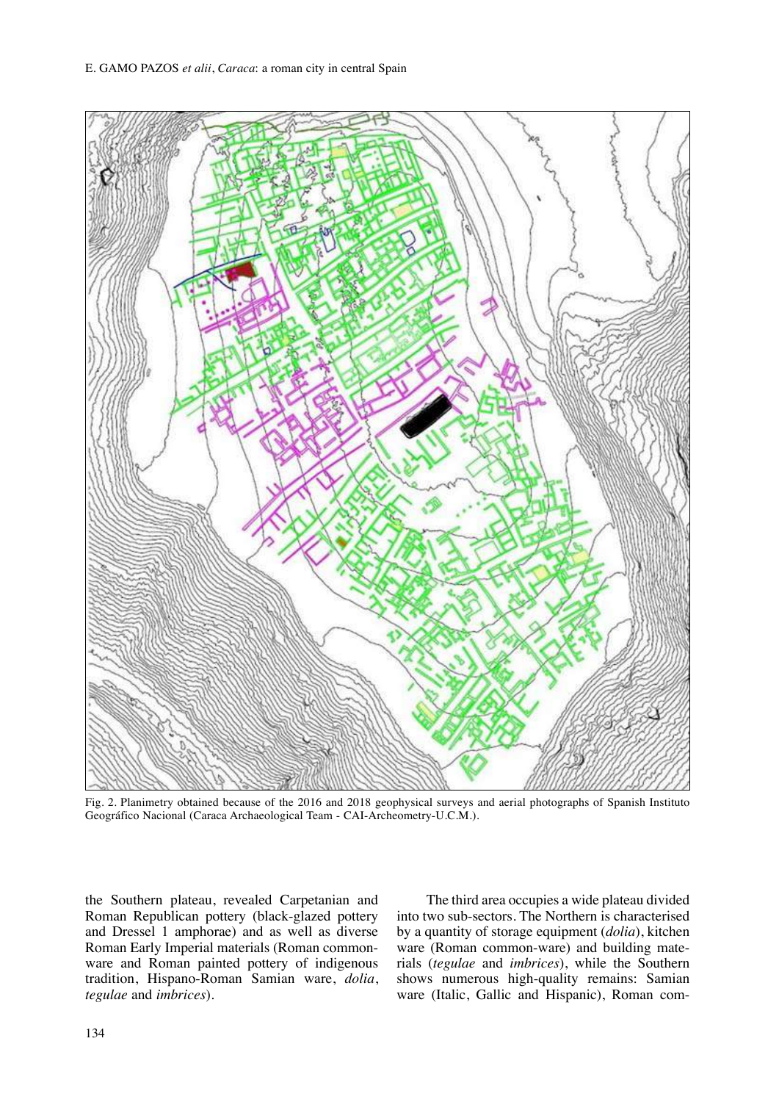

Fig. 2. Planimetry obtained because of the 2016 and 2018 geophysical surveys and aerial photographs of Spanish Instituto Geográfico Nacional (Caraca Archaeological Team - CAI-Archeometry-U.C.M.).

the Southern plateau, revealed Carpetanian and Roman Republican pottery (black-glazed pottery and Dressel 1 amphorae) and as well as diverse Roman Early Imperial materials (Roman commonware and Roman painted pottery of indigenous tradition, Hispano-Roman Samian ware, *dolia*, *tegulae* and *imbrices*).

The third area occupies a wide plateau divided into two sub-sectors. The Northern is characterised by a quantity of storage equipment (*dolia*), kitchen ware (Roman common-ware) and building materials (*tegulae* and *imbrices*), while the Southern shows numerous high-quality remains: Samian ware (Italic, Gallic and Hispanic), Roman com-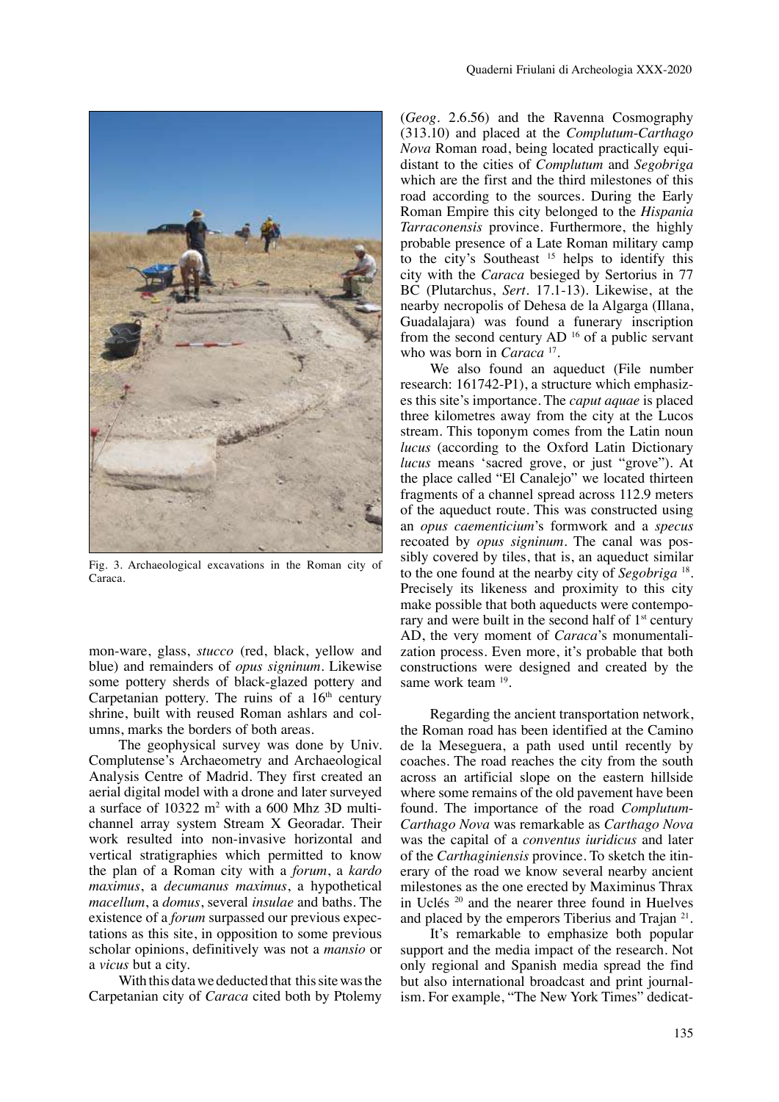

Fig. 3. Archaeological excavations in the Roman city of Caraca.

mon-ware, glass, *stucco* (red, black, yellow and blue) and remainders of *opus signinum*. Likewise some pottery sherds of black-glazed pottery and Carpetanian pottery. The ruins of a  $16<sup>th</sup>$  century shrine, built with reused Roman ashlars and columns, marks the borders of both areas.

The geophysical survey was done by Univ. Complutense's Archaeometry and Archaeological Analysis Centre of Madrid. They first created an aerial digital model with a drone and later surveyed a surface of 10322 m<sup>2</sup> with a 600 Mhz 3D multichannel array system Stream X Georadar. Their work resulted into non-invasive horizontal and vertical stratigraphies which permitted to know the plan of a Roman city with a *forum*, a *kardo maximus*, a *decumanus maximus*, a hypothetical *macellum*, a *domus*, several *insulae* and baths. The existence of a *forum* surpassed our previous expectations as this site, in opposition to some previous scholar opinions, definitively was not a *mansio* or a *vicus* but a city.

With this data we deducted that this site was the Carpetanian city of *Caraca* cited both by Ptolemy

(*Geog.* 2.6.56) and the Ravenna Cosmography (313.10) and placed at the *Complutum*-*Carthago Nova* Roman road, being located practically equidistant to the cities of *Complutum* and *Segobriga*  which are the first and the third milestones of this road according to the sources. During the Early Roman Empire this city belonged to the *Hispania Tarraconensis* province. Furthermore, the highly probable presence of a Late Roman military camp to the city's Southeast <sup>15</sup> helps to identify this city with the *Caraca* besieged by Sertorius in 77 BC (Plutarchus, *Sert.* 17.1-13). Likewise, at the nearby necropolis of Dehesa de la Algarga (Illana, Guadalajara) was found a funerary inscription from the second century  $AD<sup>16</sup>$  of a public servant who was born in *Caraca*<sup>17</sup>.

We also found an aqueduct (File number research: 161742-P1), a structure which emphasizes this site's importance. The *caput aquae* is placed three kilometres away from the city at the Lucos stream. This toponym comes from the Latin noun *lucus* (according to the Oxford Latin Dictionary *lucus* means 'sacred grove, or just "grove"). At the place called "El Canalejo" we located thirteen fragments of a channel spread across 112.9 meters of the aqueduct route. This was constructed using an *opus caementicium*'s formwork and a *specus* recoated by *opus signinum*. The canal was possibly covered by tiles, that is, an aqueduct similar to the one found at the nearby city of *Segobriga* 18. Precisely its likeness and proximity to this city make possible that both aqueducts were contemporary and were built in the second half of  $1<sup>st</sup>$  century AD, the very moment of *Caraca*'s monumentalization process. Even more, it's probable that both constructions were designed and created by the same work team <sup>19</sup>.

Regarding the ancient transportation network, the Roman road has been identified at the Camino de la Meseguera, a path used until recently by coaches. The road reaches the city from the south across an artificial slope on the eastern hillside where some remains of the old pavement have been found. The importance of the road *Complutum*-*Carthago Nova* was remarkable as *Carthago Nova* was the capital of a *conventus iuridicus* and later of the *Carthaginiensis* province. To sketch the itinerary of the road we know several nearby ancient milestones as the one erected by Maximinus Thrax in Uclés 20 and the nearer three found in Huelves and placed by the emperors Tiberius and Trajan 21.

It's remarkable to emphasize both popular support and the media impact of the research. Not only regional and Spanish media spread the find but also international broadcast and print journalism. For example, "The New York Times" dedicat-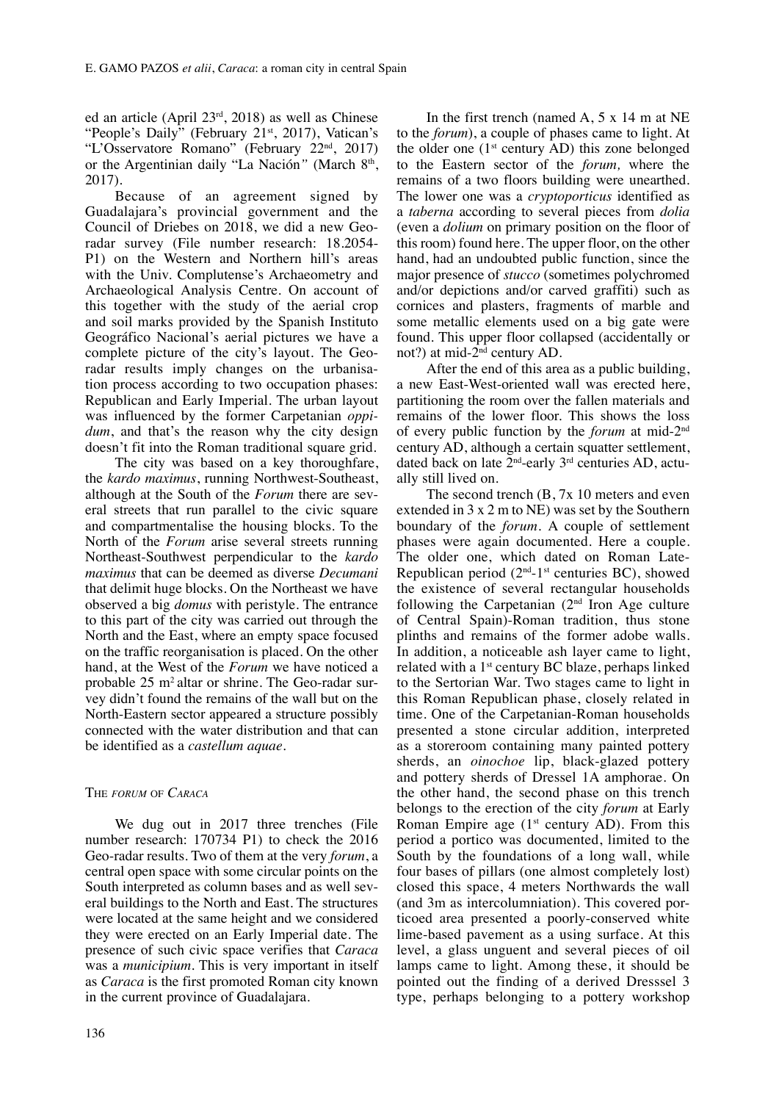ed an article (April 23rd, 2018) as well as Chinese "People's Daily" (February 21st, 2017), Vatican's "L'Osservatore Romano" (February 22<sup>nd</sup>, 2017) or the Argentinian daily "La Nación" (March 8<sup>th</sup>, 2017).

Because of an agreement signed by Guadalajara's provincial government and the Council of Driebes on 2018, we did a new Georadar survey (File number research: 18.2054- P1) on the Western and Northern hill's areas with the Univ. Complutense's Archaeometry and Archaeological Analysis Centre. On account of this together with the study of the aerial crop and soil marks provided by the Spanish Instituto Geográfico Nacional's aerial pictures we have a complete picture of the city's layout. The Georadar results imply changes on the urbanisation process according to two occupation phases: Republican and Early Imperial. The urban layout was influenced by the former Carpetanian *oppidum*, and that's the reason why the city design doesn't fit into the Roman traditional square grid.

The city was based on a key thoroughfare, the *kardo maximus*, running Northwest-Southeast, although at the South of the *Forum* there are several streets that run parallel to the civic square and compartmentalise the housing blocks. To the North of the *Forum* arise several streets running Northeast-Southwest perpendicular to the *kardo maximus* that can be deemed as diverse *Decumani*  that delimit huge blocks. On the Northeast we have observed a big *domus* with peristyle. The entrance to this part of the city was carried out through the North and the East, where an empty space focused on the traffic reorganisation is placed. On the other hand, at the West of the *Forum* we have noticed a probable 25 m<sup>2</sup> altar or shrine. The Geo-radar survey didn't found the remains of the wall but on the North-Eastern sector appeared a structure possibly connected with the water distribution and that can be identified as a *castellum aquae*.

## The *forum* of *Caraca*

We dug out in 2017 three trenches (File number research: 170734 P1) to check the 2016 Geo-radar results. Two of them at the very *forum*, a central open space with some circular points on the South interpreted as column bases and as well several buildings to the North and East. The structures were located at the same height and we considered they were erected on an Early Imperial date. The presence of such civic space verifies that *Caraca* was a *municipium*. This is very important in itself as *Caraca* is the first promoted Roman city known in the current province of Guadalajara.

In the first trench (named A, 5 x 14 m at NE to the *forum*), a couple of phases came to light. At the older one  $(1<sup>st</sup>$  century AD) this zone belonged to the Eastern sector of the *forum,* where the remains of a two floors building were unearthed. The lower one was a *cryptoporticus* identified as a *taberna* according to several pieces from *dolia*  (even a *dolium* on primary position on the floor of this room) found here. The upper floor, on the other hand, had an undoubted public function, since the major presence of *stucco* (sometimes polychromed and/or depictions and/or carved graffiti) such as cornices and plasters, fragments of marble and some metallic elements used on a big gate were found. This upper floor collapsed (accidentally or not?) at mid-2nd century AD.

After the end of this area as a public building, a new East-West-oriented wall was erected here, partitioning the room over the fallen materials and remains of the lower floor. This shows the loss of every public function by the *forum* at mid-2nd century AD, although a certain squatter settlement, dated back on late 2nd-early 3rd centuries AD, actually still lived on.

The second trench (B, 7x 10 meters and even extended in 3 x 2 m to NE) was set by the Southern boundary of the *forum.* A couple of settlement phases were again documented. Here a couple. The older one, which dated on Roman Late-Republican period  $(2<sup>nd-1st</sup>$  centuries BC), showed the existence of several rectangular households following the Carpetanian  $(2<sup>nd</sup>$  Iron Age culture of Central Spain)-Roman tradition, thus stone plinths and remains of the former adobe walls. In addition, a noticeable ash layer came to light, related with a 1st century BC blaze, perhaps linked to the Sertorian War. Two stages came to light in this Roman Republican phase, closely related in time. One of the Carpetanian-Roman households presented a stone circular addition, interpreted as a storeroom containing many painted pottery sherds, an *oinochoe* lip, black-glazed pottery and pottery sherds of Dressel 1A amphorae. On the other hand, the second phase on this trench belongs to the erection of the city *forum* at Early Roman Empire age  $(1<sup>st</sup>$  century AD). From this period a portico was documented, limited to the South by the foundations of a long wall, while four bases of pillars (one almost completely lost) closed this space, 4 meters Northwards the wall (and 3m as intercolumniation). This covered porticoed area presented a poorly-conserved white lime-based pavement as a using surface. At this level, a glass unguent and several pieces of oil lamps came to light. Among these, it should be pointed out the finding of a derived Dresssel 3 type, perhaps belonging to a pottery workshop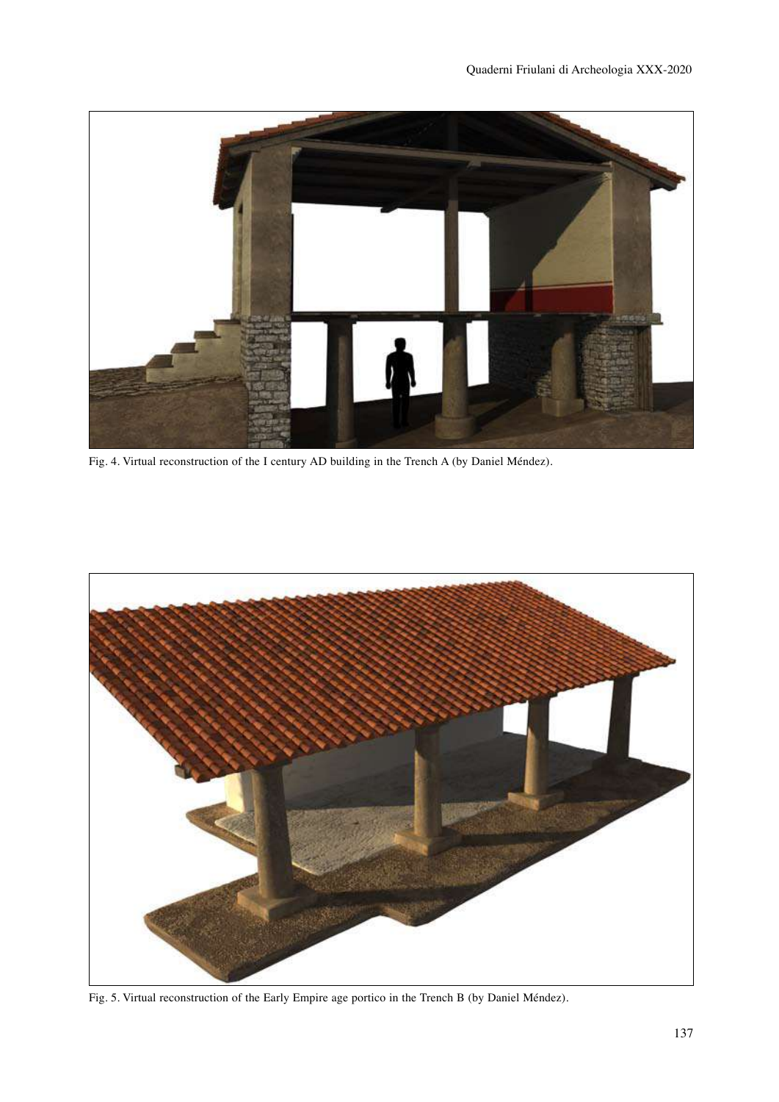

Fig. 4. Virtual reconstruction of the I century AD building in the Trench A (by Daniel Méndez).



Fig. 5. Virtual reconstruction of the Early Empire age portico in the Trench B (by Daniel Méndez).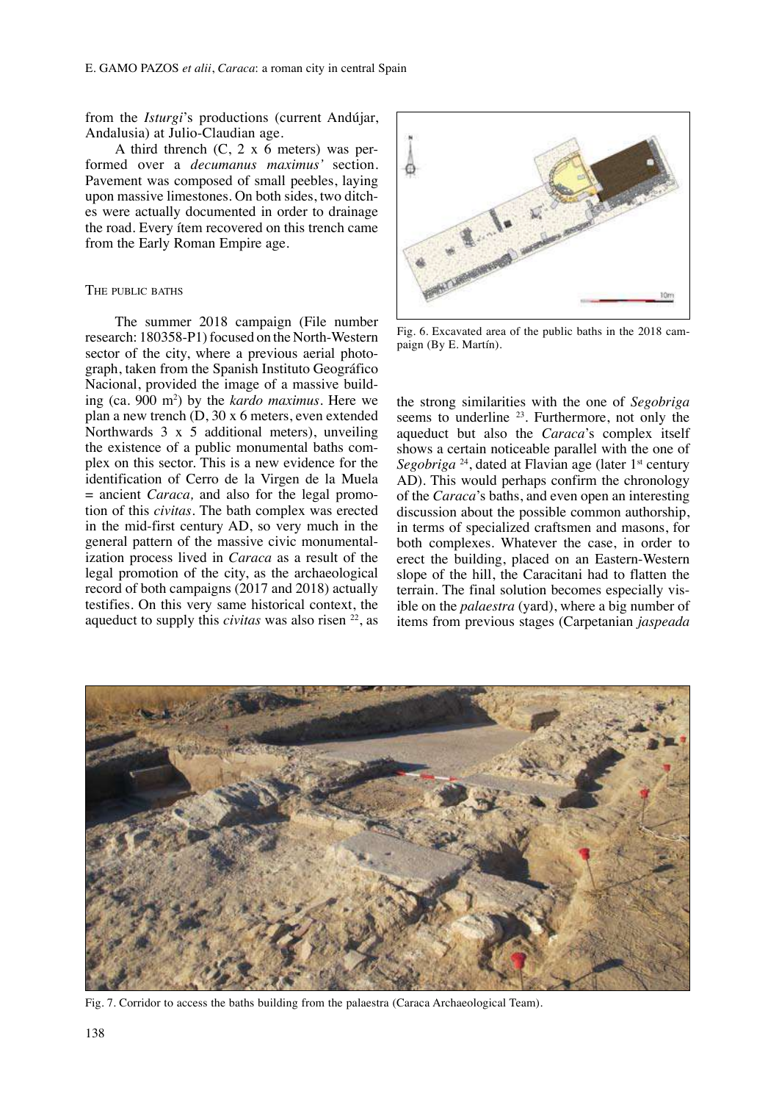from the *Isturgi*'s productions (current Andújar, Andalusia) at Julio-Claudian age.

A third thrench  $(C, 2 \times 6$  meters) was performed over a *decumanus maximus'* section. Pavement was composed of small peebles, laying upon massive limestones. On both sides, two ditches were actually documented in order to drainage the road. Every ítem recovered on this trench came from the Early Roman Empire age.

## The public baths

The summer 2018 campaign (File number research: 180358-P1) focused on the North-Western sector of the city, where a previous aerial photograph, taken from the Spanish Instituto Geográfico Nacional, provided the image of a massive building (ca. 900 m2 ) by the *kardo maximus.* Here we plan a new trench (D, 30 x 6 meters, even extended Northwards 3 x 5 additional meters), unveiling the existence of a public monumental baths complex on this sector. This is a new evidence for the identification of Cerro de la Virgen de la Muela = ancient *Caraca,* and also for the legal promotion of this *civitas.* The bath complex was erected in the mid-first century AD, so very much in the general pattern of the massive civic monumentalization process lived in *Caraca* as a result of the legal promotion of the city, as the archaeological record of both campaigns (2017 and 2018) actually testifies. On this very same historical context, the aqueduct to supply this *civitas* was also risen 22, as



Fig. 6. Excavated area of the public baths in the 2018 campaign (By E. Martín).

the strong similarities with the one of *Segobriga*  seems to underline  $2<sup>3</sup>$ . Furthermore, not only the aqueduct but also the *Caraca*'s complex itself shows a certain noticeable parallel with the one of Segobriga<sup>24</sup>, dated at Flavian age (later 1<sup>st</sup> century AD). This would perhaps confirm the chronology of the *Caraca*'s baths, and even open an interesting discussion about the possible common authorship, in terms of specialized craftsmen and masons, for both complexes. Whatever the case, in order to erect the building, placed on an Eastern-Western slope of the hill, the Caracitani had to flatten the terrain. The final solution becomes especially visible on the *palaestra* (yard), where a big number of items from previous stages (Carpetanian *jaspeada*



Fig. 7. Corridor to access the baths building from the palaestra (Caraca Archaeological Team).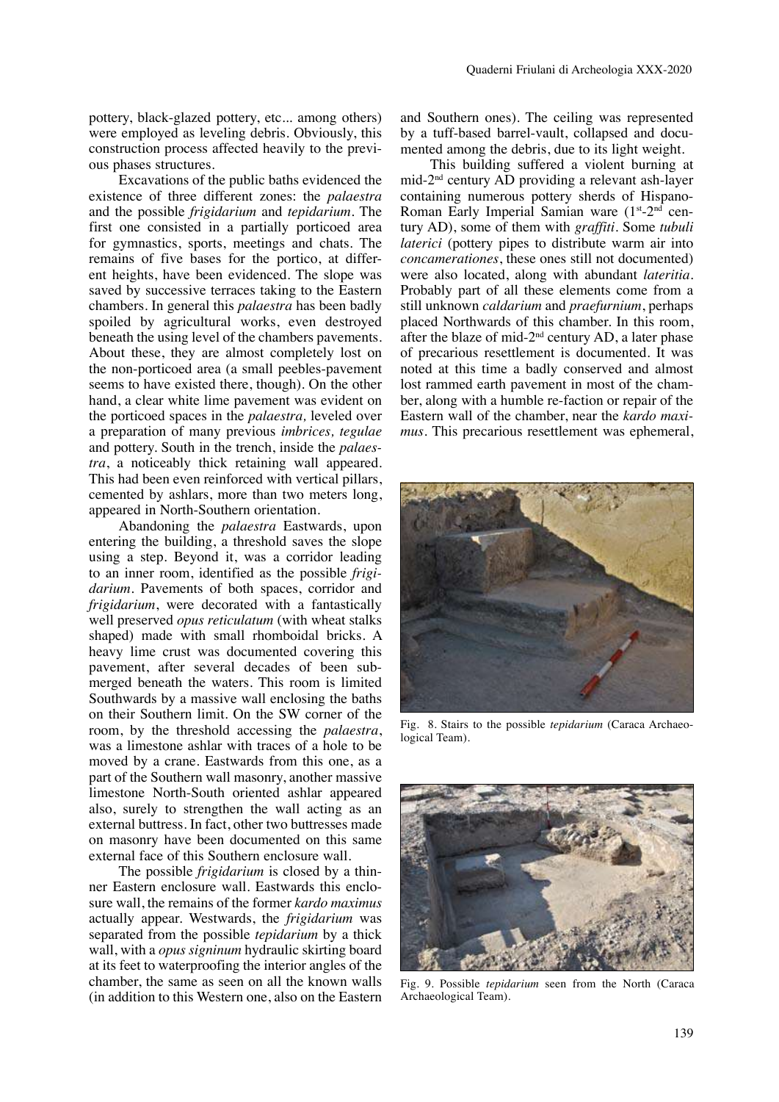pottery, black-glazed pottery, etc... among others) were employed as leveling debris. Obviously, this construction process affected heavily to the previous phases structures.

Excavations of the public baths evidenced the existence of three different zones: the *palaestra*  and the possible *frigidarium* and *tepidarium.* The first one consisted in a partially porticoed area for gymnastics, sports, meetings and chats. The remains of five bases for the portico, at different heights, have been evidenced. The slope was saved by successive terraces taking to the Eastern chambers. In general this *palaestra* has been badly spoiled by agricultural works, even destroyed beneath the using level of the chambers pavements. About these, they are almost completely lost on the non-porticoed area (a small peebles-pavement seems to have existed there, though). On the other hand, a clear white lime pavement was evident on the porticoed spaces in the *palaestra,* leveled over a preparation of many previous *imbrices, tegulae*  and pottery. South in the trench, inside the *palaestra*, a noticeably thick retaining wall appeared. This had been even reinforced with vertical pillars, cemented by ashlars, more than two meters long, appeared in North-Southern orientation.

Abandoning the *palaestra* Eastwards, upon entering the building, a threshold saves the slope using a step. Beyond it, was a corridor leading to an inner room, identified as the possible *frigidarium.* Pavements of both spaces, corridor and *frigidarium*, were decorated with a fantastically well preserved *opus reticulatum* (with wheat stalks shaped) made with small rhomboidal bricks. A heavy lime crust was documented covering this pavement, after several decades of been submerged beneath the waters. This room is limited Southwards by a massive wall enclosing the baths on their Southern limit. On the SW corner of the room, by the threshold accessing the *palaestra*, was a limestone ashlar with traces of a hole to be moved by a crane. Eastwards from this one, as a part of the Southern wall masonry, another massive limestone North-South oriented ashlar appeared also, surely to strengthen the wall acting as an external buttress. In fact, other two buttresses made on masonry have been documented on this same external face of this Southern enclosure wall.

The possible *frigidarium* is closed by a thinner Eastern enclosure wall. Eastwards this enclosure wall, the remains of the former *kardo maximus*  actually appear. Westwards, the *frigidarium* was separated from the possible *tepidarium* by a thick wall, with a *opus signinum* hydraulic skirting board at its feet to waterproofing the interior angles of the chamber, the same as seen on all the known walls (in addition to this Western one, also on the Eastern and Southern ones). The ceiling was represented by a tuff-based barrel-vault, collapsed and documented among the debris, due to its light weight.

This building suffered a violent burning at mid-2nd century AD providing a relevant ash-layer containing numerous pottery sherds of Hispano-Roman Early Imperial Samian ware (1<sup>st</sup>-2<sup>nd</sup> century AD), some of them with *graffiti*. Some *tubuli laterici* (pottery pipes to distribute warm air into *concamerationes*, these ones still not documented) were also located, along with abundant *lateritia.*  Probably part of all these elements come from a still unknown *caldarium* and *praefurnium*, perhaps placed Northwards of this chamber. In this room, after the blaze of mid-2nd century AD, a later phase of precarious resettlement is documented. It was noted at this time a badly conserved and almost lost rammed earth pavement in most of the chamber, along with a humble re-faction or repair of the Eastern wall of the chamber, near the *kardo maximus.* This precarious resettlement was ephemeral,



Fig. 8. Stairs to the possible *tepidarium* (Caraca Archaeological Team).



Fig. 9. Possible *tepidarium* seen from the North (Caraca Archaeological Team).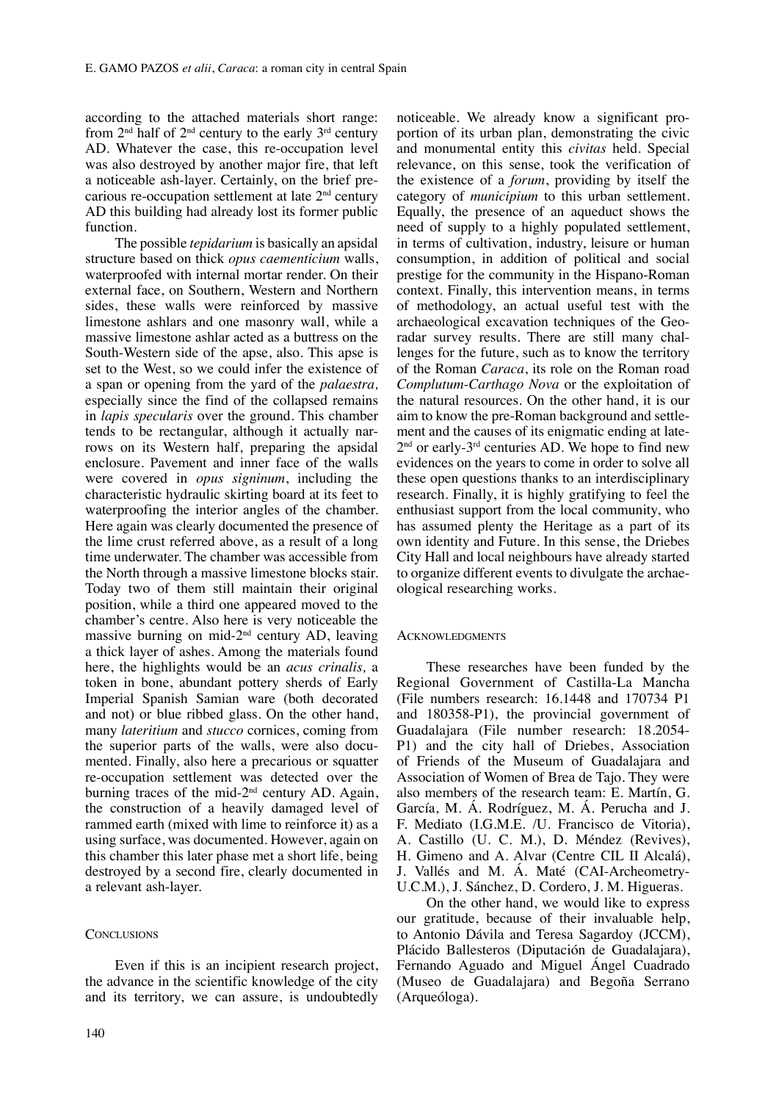according to the attached materials short range: from  $2<sup>nd</sup>$  half of  $2<sup>nd</sup>$  century to the early  $3<sup>rd</sup>$  century AD. Whatever the case, this re-occupation level was also destroyed by another major fire, that left a noticeable ash-layer. Certainly, on the brief precarious re-occupation settlement at late 2nd century AD this building had already lost its former public function.

The possible *tepidarium* is basically an apsidal structure based on thick *opus caementicium* walls, waterproofed with internal mortar render. On their external face, on Southern, Western and Northern sides, these walls were reinforced by massive limestone ashlars and one masonry wall, while a massive limestone ashlar acted as a buttress on the South-Western side of the apse, also. This apse is set to the West, so we could infer the existence of a span or opening from the yard of the *palaestra,*  especially since the find of the collapsed remains in *lapis specularis* over the ground. This chamber tends to be rectangular, although it actually narrows on its Western half, preparing the apsidal enclosure. Pavement and inner face of the walls were covered in *opus signinum*, including the characteristic hydraulic skirting board at its feet to waterproofing the interior angles of the chamber. Here again was clearly documented the presence of the lime crust referred above, as a result of a long time underwater. The chamber was accessible from the North through a massive limestone blocks stair. Today two of them still maintain their original position, while a third one appeared moved to the chamber's centre. Also here is very noticeable the massive burning on mid-2nd century AD, leaving a thick layer of ashes. Among the materials found here, the highlights would be an *acus crinalis,* a token in bone, abundant pottery sherds of Early Imperial Spanish Samian ware (both decorated and not) or blue ribbed glass. On the other hand, many *lateritium* and *stucco* cornices, coming from the superior parts of the walls, were also documented. Finally, also here a precarious or squatter re-occupation settlement was detected over the burning traces of the mid-2<sup>nd</sup> century AD. Again, the construction of a heavily damaged level of rammed earth (mixed with lime to reinforce it) as a using surface, was documented. However, again on this chamber this later phase met a short life, being destroyed by a second fire, clearly documented in a relevant ash-layer.

## **CONCLUSIONS**

Even if this is an incipient research project, the advance in the scientific knowledge of the city and its territory, we can assure, is undoubtedly

noticeable. We already know a significant proportion of its urban plan, demonstrating the civic and monumental entity this *civitas* held. Special relevance, on this sense, took the verification of the existence of a *forum*, providing by itself the category of *municipium* to this urban settlement. Equally, the presence of an aqueduct shows the need of supply to a highly populated settlement, in terms of cultivation, industry, leisure or human consumption, in addition of political and social prestige for the community in the Hispano-Roman context. Finally, this intervention means, in terms of methodology, an actual useful test with the archaeological excavation techniques of the Georadar survey results. There are still many challenges for the future, such as to know the territory of the Roman *Caraca*, its role on the Roman road *Complutum*-*Carthago Nova* or the exploitation of the natural resources. On the other hand, it is our aim to know the pre-Roman background and settlement and the causes of its enigmatic ending at late- $2<sup>nd</sup>$  or early-3<sup>rd</sup> centuries AD. We hope to find new evidences on the years to come in order to solve all these open questions thanks to an interdisciplinary research. Finally, it is highly gratifying to feel the enthusiast support from the local community, who has assumed plenty the Heritage as a part of its own identity and Future. In this sense, the Driebes City Hall and local neighbours have already started to organize different events to divulgate the archaeological researching works.

#### **ACKNOWLEDGMENTS**

These researches have been funded by the Regional Government of Castilla-La Mancha (File numbers research: 16.1448 and 170734 P1 and 180358-P1), the provincial government of Guadalajara (File number research: 18.2054- P1) and the city hall of Driebes, Association of Friends of the Museum of Guadalajara and Association of Women of Brea de Tajo. They were also members of the research team: E. Martín, G. García, M. Á. Rodríguez, M. Á. Perucha and J. F. Mediato (I.G.M.E. /U. Francisco de Vitoria), A. Castillo (U. C. M.), D. Méndez (Revives), H. Gimeno and A. Alvar (Centre CIL II Alcalá), J. Vallés and M. Á. Maté (CAI-Archeometry-U.C.M.), J. Sánchez, D. Cordero, J. M. Higueras.

On the other hand, we would like to express our gratitude, because of their invaluable help, to Antonio Dávila and Teresa Sagardoy (JCCM), Plácido Ballesteros (Diputación de Guadalajara), Fernando Aguado and Miguel Ángel Cuadrado (Museo de Guadalajara) and Begoña Serrano (Arqueóloga).